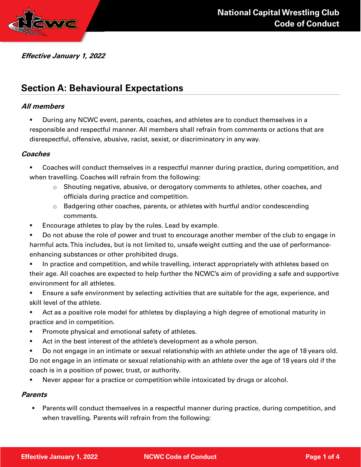



### Effective January 1, 2022

# Section A: Behavioural Expectations

### All members

**During any NCWC event, parents, coaches, and athletes are to conduct themselves in a** responsible and respectful manner. All members shall refrain from comments or actions that are disrespectful, offensive, abusive, racist, sexist, or discriminatory in any way.

### **Coaches**

 Coaches will conduct themselves in a respectful manner during practice, during competition, and when travelling. Coaches will refrain from the following:

- o Shouting negative, abusive, or derogatory comments to athletes, other coaches, and officials during practice and competition.
- $\circ$  Badgering other coaches, parents, or athletes with hurtful and/or condescending comments.
- **Encourage athletes to play by the rules. Lead by example.**
- Do not abuse the role of power and trust to encourage another member of the club to engage in harmful acts. This includes, but is not limited to, unsafe weight cutting and the use of performanceenhancing substances or other prohibited drugs.
- In practice and competition, and while travelling, interact appropriately with athletes based on their age. All coaches are expected to help further the NCWC's aim of providing a safe and supportive environment for all athletes.
- Ensure a safe environment by selecting activities that are suitable for the age, experience, and skill level of the athlete.
- Act as a positive role model for athletes by displaying a high degree of emotional maturity in practice and in competition.
- Promote physical and emotional safety of athletes.
- Act in the best interest of the athlete's development as a whole person.
- Do not engage in an intimate or sexual relationship with an athlete under the age of 18 years old. Do not engage in an intimate or sexual relationship with an athlete over the age of 18 years old if the coach is in a position of power, trust, or authority.
- Never appear for a practice or competition while intoxicated by drugs or alcohol.

#### Parents

 Parents will conduct themselves in a respectful manner during practice, during competition, and when travelling. Parents will refrain from the following: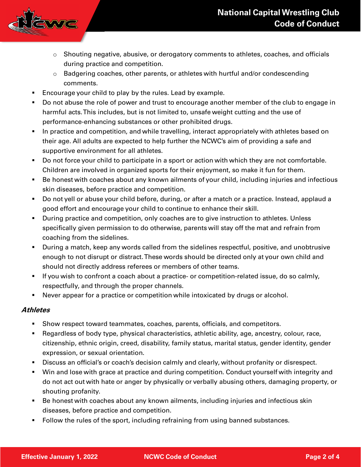

- $\circ$  Shouting negative, abusive, or derogatory comments to athletes, coaches, and officials during practice and competition.
- $\circ$  Badgering coaches, other parents, or athletes with hurtful and/or condescending comments.
- **Encourage your child to play by the rules. Lead by example.**
- Do not abuse the role of power and trust to encourage another member of the club to engage in harmful acts. This includes, but is not limited to, unsafe weight cutting and the use of performance-enhancing substances or other prohibited drugs.
- In practice and competition, and while travelling, interact appropriately with athletes based on their age. All adults are expected to help further the NCWC's aim of providing a safe and supportive environment for all athletes.
- Do not force your child to participate in a sport or action with which they are not comfortable. Children are involved in organized sports for their enjoyment, so make it fun for them.
- Be honest with coaches about any known ailments of your child, including injuries and infectious skin diseases, before practice and competition.
- Do not yell or abuse your child before, during, or after a match or a practice. Instead, applaud a good effort and encourage your child to continue to enhance their skill.
- During practice and competition, only coaches are to give instruction to athletes. Unless specifically given permission to do otherwise, parents will stay off the mat and refrain from coaching from the sidelines.
- During a match, keep any words called from the sidelines respectful, positive, and unobtrusive enough to not disrupt or distract. These words should be directed only at your own child and should not directly address referees or members of other teams.
- If you wish to confront a coach about a practice- or competition-related issue, do so calmly, respectfully, and through the proper channels.
- Never appear for a practice or competition while intoxicated by drugs or alcohol.

## Athletes

- Show respect toward teammates, coaches, parents, officials, and competitors.
- Regardless of body type, physical characteristics, athletic ability, age, ancestry, colour, race, citizenship, ethnic origin, creed, disability, family status, marital status, gender identity, gender expression, or sexual orientation.
- Discuss an official's or coach's decision calmly and clearly, without profanity or disrespect.
- Win and lose with grace at practice and during competition. Conduct yourself with integrity and do not act out with hate or anger by physically or verbally abusing others, damaging property, or shouting profanity.
- Be honest with coaches about any known ailments, including injuries and infectious skin diseases, before practice and competition.
- Follow the rules of the sport, including refraining from using banned substances.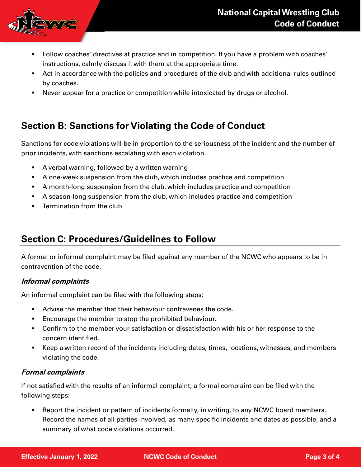

- Follow coaches' directives at practice and in competition. If you have a problem with coaches' instructions, calmly discuss it with them at the appropriate time.
- Act in accordance with the policies and procedures of the club and with additional rules outlined by coaches.
- Never appear for a practice or competition while intoxicated by drugs or alcohol.

# Section B: Sanctions for Violating the Code of Conduct

Sanctions for code violations will be in proportion to the seriousness of the incident and the number of prior incidents, with sanctions escalating with each violation.

- A verbal warning, followed by a written warning
- A one-week suspension from the club, which includes practice and competition
- A month-long suspension from the club, which includes practice and competition
- A season-long suspension from the club, which includes practice and competition
- **Fig.** Termination from the club

## Section C: Procedures/Guidelines to Follow

A formal or informal complaint may be filed against any member of the NCWC who appears to be in contravention of the code.

## Informal complaints

An informal complaint can be filed with the following steps:

- Advise the member that their behaviour contravenes the code.
- **Encourage the member to stop the prohibited behaviour.**
- Confirm to the member your satisfaction or dissatisfaction with his or her response to the concern identified.
- Keep a written record of the incidents including dates, times, locations, witnesses, and members violating the code.

## Formal complaints

If not satisfied with the results of an informal complaint, a formal complaint can be filed with the following steps:

 Report the incident or pattern of incidents formally, in writing, to any NCWC board members. Record the names of all parties involved, as many specific incidents and dates as possible, and a summary of what code violations occurred.